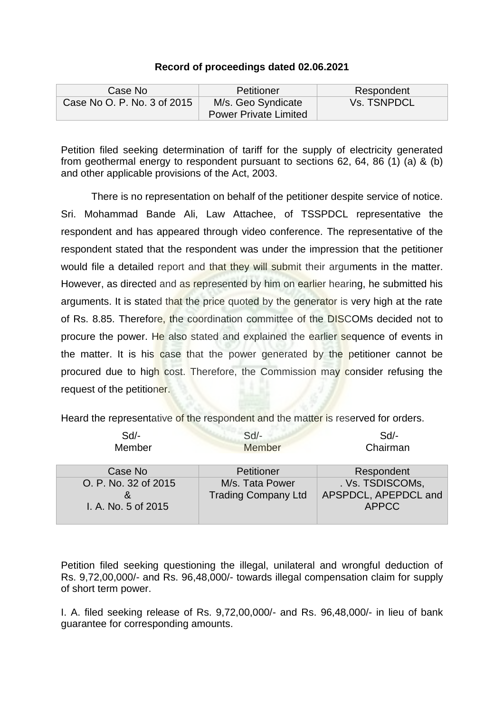## **Record of proceedings dated 02.06.2021**

| Case No                     | Petitioner                                         | Respondent  |
|-----------------------------|----------------------------------------------------|-------------|
| Case No O. P. No. 3 of 2015 | M/s. Geo Syndicate<br><b>Power Private Limited</b> | Vs. TSNPDCL |

Petition filed seeking determination of tariff for the supply of electricity generated from geothermal energy to respondent pursuant to sections 62, 64, 86 (1) (a) & (b) and other applicable provisions of the Act, 2003.

There is no representation on behalf of the petitioner despite service of notice. Sri. Mohammad Bande Ali, Law Attachee, of TSSPDCL representative the respondent and has appeared through video conference. The representative of the respondent stated that the respondent was under the impression that the petitioner would file a detailed report and that they will submit their arguments in the matter. However, as directed and as represented by him on earlier hearing, he submitted his arguments. It is stated that the price quoted by the generator is very high at the rate of Rs. 8.85. Therefore, the coordination committee of the DISCOMs decided not to procure the power. He also stated and explained the earlier sequence of events in the matter. It is his case that the power generated by the petitioner cannot be procured due to high cost. Therefore, the Commission may consider refusing the request of the petitioner.

Heard the representative of the respondent and the matter is reserved for orders.

| Sd                                          | $Sd$ -                                        | $Sd$ -                                                   |
|---------------------------------------------|-----------------------------------------------|----------------------------------------------------------|
| Member                                      | Member                                        | Chairman                                                 |
| Case No                                     | Petitioner                                    | Respondent                                               |
| O. P. No. 32 of 2015<br>I. A. No. 5 of 2015 | M/s. Tata Power<br><b>Trading Company Ltd</b> | . Vs. TSDISCOMs,<br>APSPDCL, APEPDCL and<br><b>APPCC</b> |

Petition filed seeking questioning the illegal, unilateral and wrongful deduction of Rs. 9,72,00,000/- and Rs. 96,48,000/- towards illegal compensation claim for supply of short term power.

I. A. filed seeking release of Rs. 9,72,00,000/- and Rs. 96,48,000/- in lieu of bank guarantee for corresponding amounts.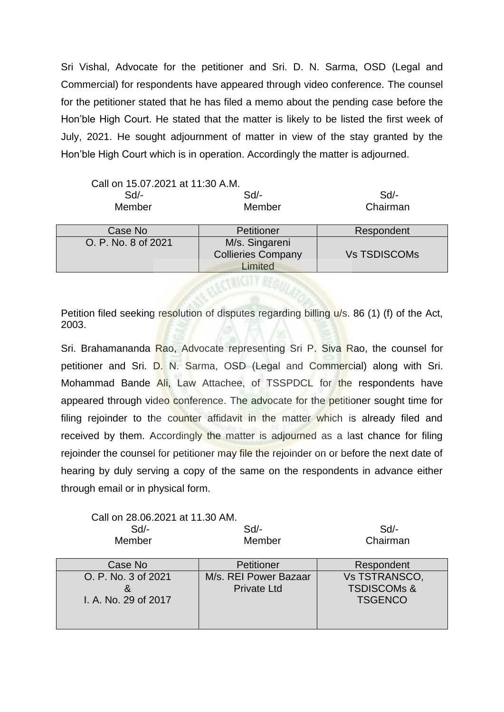Sri Vishal, Advocate for the petitioner and Sri. D. N. Sarma, OSD (Legal and Commercial) for respondents have appeared through video conference. The counsel for the petitioner stated that he has filed a memo about the pending case before the Hon'ble High Court. He stated that the matter is likely to be listed the first week of July, 2021. He sought adjournment of matter in view of the stay granted by the Hon'ble High Court which is in operation. Accordingly the matter is adjourned.

| Call on 15.07.2021 at 11:30 A.M. |                           |                     |  |
|----------------------------------|---------------------------|---------------------|--|
| $Sd$ -                           | $Sd$ -                    | $Sd$ -              |  |
| Member                           | Member                    | Chairman            |  |
|                                  |                           |                     |  |
| Case No                          | Petitioner                | Respondent          |  |
| O. P. No. 8 of 2021              | M/s. Singareni            |                     |  |
|                                  | <b>Collieries Company</b> | <b>Vs TSDISCOMs</b> |  |
|                                  | Limited                   |                     |  |
|                                  |                           |                     |  |

Petition filed seeking resolution of disputes regarding billing  $u/s$ . 86 (1) (f) of the Act, 2003.

Sri. Brahamananda Rao, Advocate representing Sri P. Siva Rao, the counsel for petitioner and Sri. D. N. Sarma, OSD (Legal and Commercial) along with Sri. Mohammad Bande Ali, Law Attachee, of TSSPDCL for the respondents have appeared through video conference. The advocate for the petitioner sought time for filing rejoinder to the counter affidavit in the matter which is already filed and received by them. Accordingly the matter is adjourned as a last chance for filing rejoinder the counsel for petitioner may file the rejoinder on or before the next date of hearing by duly serving a copy of the same on the respondents in advance either through email or in physical form.

Call on 28.06.2021 at 11.30 AM. Sd/- Sd/- Sd/-

Member Member Chairman

| Case No                                     | Petitioner                                  | Respondent                                                       |
|---------------------------------------------|---------------------------------------------|------------------------------------------------------------------|
| O. P. No. 3 of 2021<br>I. A. No. 29 of 2017 | M/s. REI Power Bazaar<br><b>Private Ltd</b> | <b>Vs TSTRANSCO,</b><br><b>TSDISCOMs &amp;</b><br><b>TSGENCO</b> |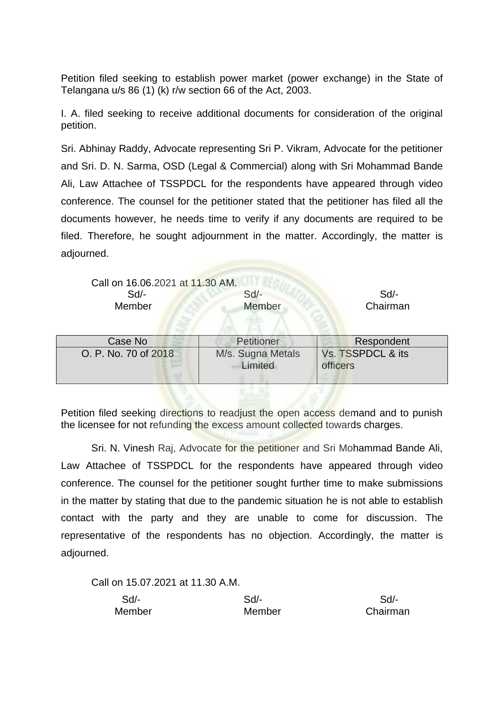Petition filed seeking to establish power market (power exchange) in the State of Telangana u/s 86 (1) (k) r/w section 66 of the Act, 2003.

I. A. filed seeking to receive additional documents for consideration of the original petition.

Sri. Abhinay Raddy, Advocate representing Sri P. Vikram, Advocate for the petitioner and Sri. D. N. Sarma, OSD (Legal & Commercial) along with Sri Mohammad Bande Ali, Law Attachee of TSSPDCL for the respondents have appeared through video conference. The counsel for the petitioner stated that the petitioner has filed all the documents however, he needs time to verify if any documents are required to be filed. Therefore, he sought adjournment in the matter. Accordingly, the matter is adjourned.

| Call on 16.06.2021 at 11.30 AM.<br>Sd<br>Member | $Sd$ -<br>Member             | $Sd$ -<br>Chairman            |
|-------------------------------------------------|------------------------------|-------------------------------|
| Case No                                         | Petitioner                   | Respondent                    |
| O. P. No. 70 of 2018                            | M/s. Sugna Metals<br>Limited | Vs. TSSPDCL & its<br>officers |

Petition filed seeking directions to readjust the open access demand and to punish the licensee for not refunding the excess amount collected towards charges.

Sri. N. Vinesh Raj, Advocate for the petitioner and Sri Mohammad Bande Ali, Law Attachee of TSSPDCL for the respondents have appeared through video conference. The counsel for the petitioner sought further time to make submissions in the matter by stating that due to the pandemic situation he is not able to establish contact with the party and they are unable to come for discussion. The representative of the respondents has no objection. Accordingly, the matter is adjourned.

Call on 15.07.2021 at 11.30 A.M.

| Sd/-   | Sd/-   | Sd/-     |
|--------|--------|----------|
| Member | Member | Chairman |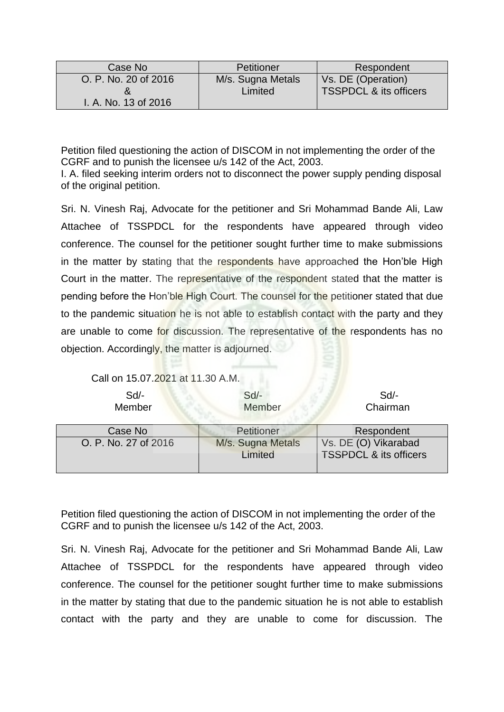| Case No              | Petitioner        | Respondent                        |
|----------------------|-------------------|-----------------------------------|
| O. P. No. 20 of 2016 | M/s. Sugna Metals | Vs. DE (Operation)                |
| I. A. No. 13 of 2016 | Limited           | <b>TSSPDCL &amp; its officers</b> |

Petition filed questioning the action of DISCOM in not implementing the order of the CGRF and to punish the licensee u/s 142 of the Act, 2003.

I. A. filed seeking interim orders not to disconnect the power supply pending disposal of the original petition.

Sri. N. Vinesh Raj, Advocate for the petitioner and Sri Mohammad Bande Ali, Law Attachee of TSSPDCL for the respondents have appeared through video conference. The counsel for the petitioner sought further time to make submissions in the matter by stating that the respondents have approached the Hon'ble High Court in the matter. The representative of the respondent stated that the matter is pending before the Hon'ble High Court. The counsel for the petitioner stated that due to the pandemic situation he is not able to establish contact with the party and they are unable to come for discussion. The representative of the respondents has no objection. Accordingly, the matter is adjourned.

Call on 15.07.2021 at 11.30 A.M.

| $Sd$ -<br>Member     | $Sd$ -<br>Member  | $Sd$ -<br>Chairman                |
|----------------------|-------------------|-----------------------------------|
| Case No              | Petitioner        | Respondent                        |
| O. P. No. 27 of 2016 | M/s. Sugna Metals | Vs. DE (O) Vikarabad              |
|                      | Limited           | <b>TSSPDCL &amp; its officers</b> |

Petition filed questioning the action of DISCOM in not implementing the order of the CGRF and to punish the licensee u/s 142 of the Act, 2003.

Sri. N. Vinesh Raj, Advocate for the petitioner and Sri Mohammad Bande Ali, Law Attachee of TSSPDCL for the respondents have appeared through video conference. The counsel for the petitioner sought further time to make submissions in the matter by stating that due to the pandemic situation he is not able to establish contact with the party and they are unable to come for discussion. The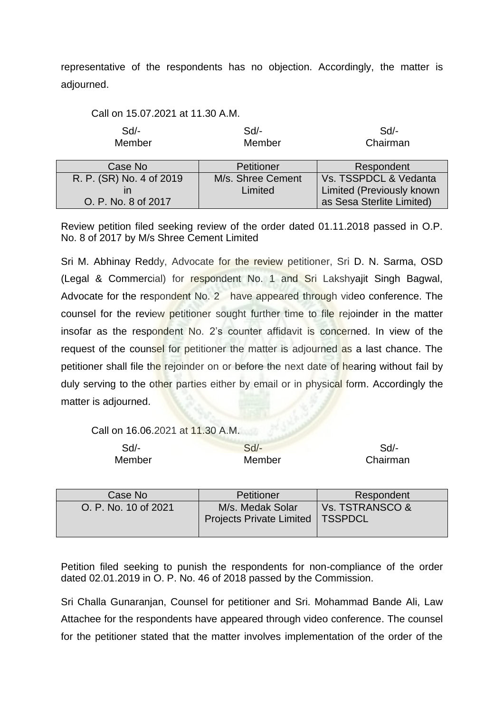representative of the respondents has no objection. Accordingly, the matter is adjourned.

| Call on 15.07.2021 at 11.30 A.M. |                              |                                                           |
|----------------------------------|------------------------------|-----------------------------------------------------------|
| Sd<br>Member                     | Sd/-<br>Member               | $Sd$ -<br>Chairman                                        |
| Case No                          | Petitioner                   | Respondent                                                |
| R. P. (SR) No. 4 of 2019         | M/s. Shree Cement<br>Limited | Vs. TSSPDCL & Vedanta<br><b>Limited (Previously known</b> |

Review petition filed seeking review of the order dated 01.11.2018 passed in O.P. No. 8 of 2017 by M/s Shree Cement Limited

as Sesa Sterlite Limited)

Sri M. Abhinay Reddy, Advocate for the review petitioner, Sri D. N. Sarma, OSD (Legal & Commercial) for respondent No. 1 and Sri Lakshyajit Singh Bagwal, Advocate for the respondent No. 2 have appeared through video conference. The counsel for the review petitioner sought further time to file rejoinder in the matter insofar as the respondent No. 2's counter affidavit is concerned. In view of the request of the counsel for petitioner the matter is adjourned as a last chance. The petitioner shall file the rejoinder on or before the next date of hearing without fail by duly serving to the other parties either by email or in physical form. Accordingly the matter is adjourned.

Call on 16.06.2021 at 11.30 A.M.

O. P. No. 8 of 2017

| Sd/-   | $Sd$ - | Sd/-     |
|--------|--------|----------|
| Member | Member | Chairman |

| Case No              | Petitioner                                          | Respondent                          |
|----------------------|-----------------------------------------------------|-------------------------------------|
| O. P. No. 10 of 2021 | M/s. Medak Solar<br><b>Projects Private Limited</b> | Vs. TSTRANSCO &<br><b>I TSSPDCL</b> |

Petition filed seeking to punish the respondents for non-compliance of the order dated 02.01.2019 in O. P. No. 46 of 2018 passed by the Commission.

Sri Challa Gunaranjan, Counsel for petitioner and Sri. Mohammad Bande Ali, Law Attachee for the respondents have appeared through video conference. The counsel for the petitioner stated that the matter involves implementation of the order of the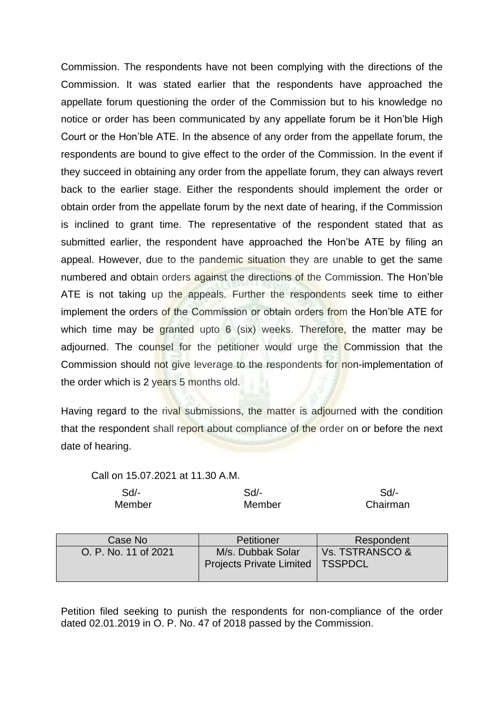Commission. The respondents have not been complying with the directions of the Commission. It was stated earlier that the respondents have approached the appellate forum questioning the order of the Commission but to his knowledge no notice or order has been communicated by any appellate forum be it Hon'ble High Court or the Hon'ble ATE. In the absence of any order from the appellate forum, the respondents are bound to give effect to the order of the Commission. In the event if they succeed in obtaining any order from the appellate forum, they can always revert back to the earlier stage. Either the respondents should implement the order or obtain order from the appellate forum by the next date of hearing, if the Commission is inclined to grant time. The representative of the respondent stated that as submitted earlier, the respondent have approached the Hon'be ATE by filing an appeal. However, due to the pandemic situation they are unable to get the same numbered and obtain orders against the directions of the Commission. The Hon'ble ATE is not taking up the appeals. Further the respondents seek time to either implement the orders of the Commission or obtain orders from the Hon'ble ATE for which time may be granted upto 6 (six) weeks. Therefore, the matter may be adjourned. The counsel for the petitioner would urge the Commission that the Commission should not give leverage to the respondents for non-implementation of the order which is 2 years 5 months old.

Having regard to the rival submissions, the matter is adjourned with the condition that the respondent shall report about compliance of the order on or before the next date of hearing.

Call on 15.07.2021 at 11.30 A.M.

| Sd/-   | Sd/-   | Sd/-     |
|--------|--------|----------|
| Member | Member | Chairman |

| Case No              | Petitioner                                                     | Respondent      |
|----------------------|----------------------------------------------------------------|-----------------|
| O. P. No. 11 of 2021 | M/s. Dubbak Solar<br><b>Projects Private Limited   TSSPDCL</b> | Vs. TSTRANSCO & |

Petition filed seeking to punish the respondents for non-compliance of the order dated 02.01.2019 in O. P. No. 47 of 2018 passed by the Commission.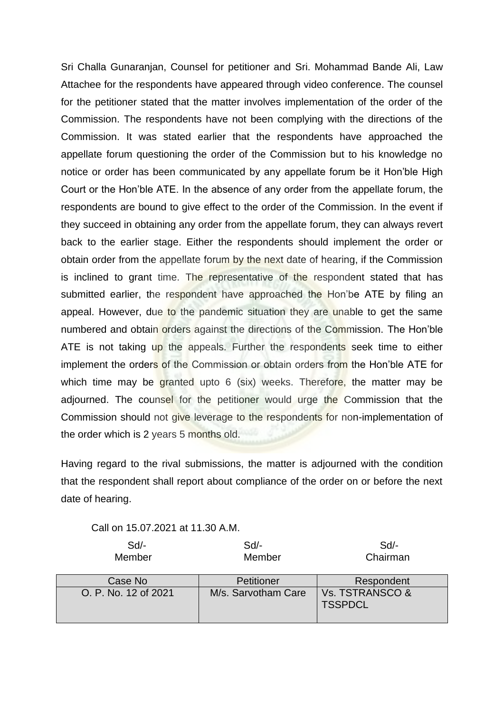Sri Challa Gunaranjan, Counsel for petitioner and Sri. Mohammad Bande Ali, Law Attachee for the respondents have appeared through video conference. The counsel for the petitioner stated that the matter involves implementation of the order of the Commission. The respondents have not been complying with the directions of the Commission. It was stated earlier that the respondents have approached the appellate forum questioning the order of the Commission but to his knowledge no notice or order has been communicated by any appellate forum be it Hon'ble High Court or the Hon'ble ATE. In the absence of any order from the appellate forum, the respondents are bound to give effect to the order of the Commission. In the event if they succeed in obtaining any order from the appellate forum, they can always revert back to the earlier stage. Either the respondents should implement the order or obtain order from the appellate forum by the next date of hearing, if the Commission is inclined to grant time. The representative of the respondent stated that has submitted earlier, the respondent have approached the Hon'be ATE by filing an appeal. However, due to the pandemic situation they are unable to get the same numbered and obtain orders against the directions of the Commission. The Hon'ble ATE is not taking up the appeals. Further the respondents seek time to either implement the orders of the Commission or obtain orders from the Hon'ble ATE for which time may be granted upto 6 (six) weeks. Therefore, the matter may be adjourned. The counsel for the petitioner would urge the Commission that the Commission should not give leverage to the respondents for non-implementation of the order which is 2 years 5 months old.

Having regard to the rival submissions, the matter is adjourned with the condition that the respondent shall report about compliance of the order on or before the next date of hearing.

Call on 15.07.2021 at 11.30 A.M.

| $Sd$ -<br>Member     | $Sd$ -<br>Member    | $Sd$ -<br>Chairman                           |
|----------------------|---------------------|----------------------------------------------|
| Case No              | Petitioner          | Respondent                                   |
| O. P. No. 12 of 2021 | M/s. Sarvotham Care | <b>Vs. TSTRANSCO &amp;</b><br><b>TSSPDCL</b> |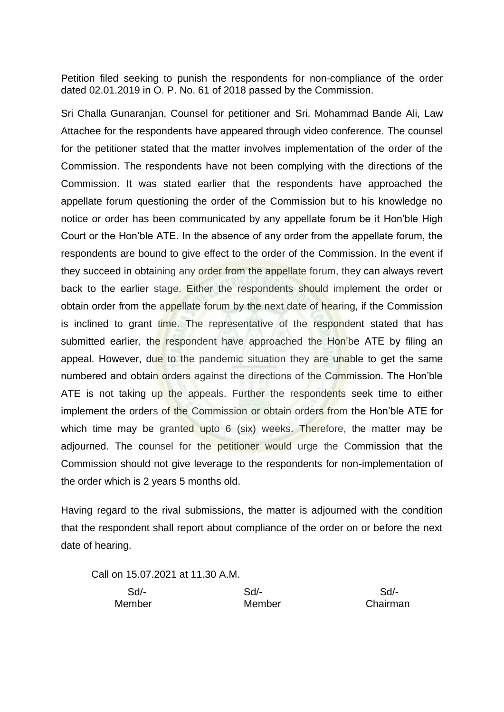Petition filed seeking to punish the respondents for non-compliance of the order dated 02.01.2019 in O. P. No. 61 of 2018 passed by the Commission.

Sri Challa Gunaranjan, Counsel for petitioner and Sri. Mohammad Bande Ali, Law Attachee for the respondents have appeared through video conference. The counsel for the petitioner stated that the matter involves implementation of the order of the Commission. The respondents have not been complying with the directions of the Commission. It was stated earlier that the respondents have approached the appellate forum questioning the order of the Commission but to his knowledge no notice or order has been communicated by any appellate forum be it Hon'ble High Court or the Hon'ble ATE. In the absence of any order from the appellate forum, the respondents are bound to give effect to the order of the Commission. In the event if they succeed in obtaining any order from the appellate forum, they can always revert back to the earlier stage. Either the respondents should implement the order or obtain order from the appellate forum by the next date of hearing, if the Commission is inclined to grant time. The representative of the respondent stated that has submitted earlier, the respondent have approached the Hon'be ATE by filing an appeal. However, due to the pandemic situation they are unable to get the same numbered and obtain orders against the directions of the Commission. The Hon'ble ATE is not taking up the appeals. Further the respondents seek time to either implement the orders of the Commission or obtain orders from the Hon'ble ATE for which time may be granted upto 6 (six) weeks. Therefore, the matter may be adjourned. The counsel for the petitioner would urge the Commission that the Commission should not give leverage to the respondents for non-implementation of the order which is 2 years 5 months old.

Having regard to the rival submissions, the matter is adjourned with the condition that the respondent shall report about compliance of the order on or before the next date of hearing.

Call on 15.07.2021 at 11.30 A.M.

Sd/- Sd/- Sd/-

Member Member Chairman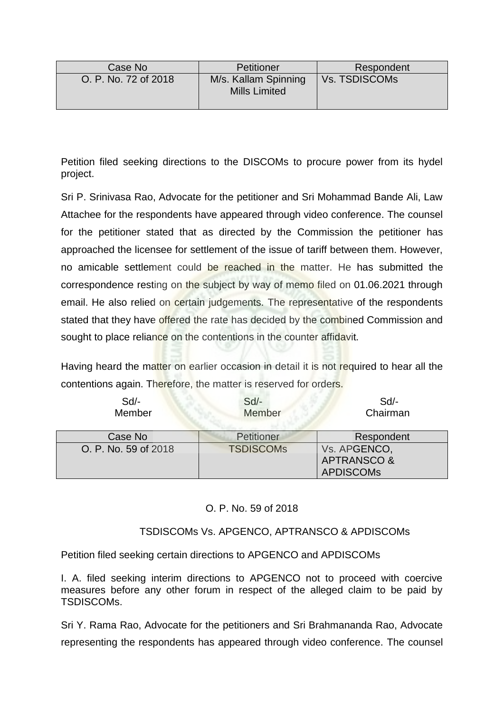| Case No              | Petitioner                                   | Respondent           |
|----------------------|----------------------------------------------|----------------------|
| O. P. No. 72 of 2018 | M/s. Kallam Spinning<br><b>Mills Limited</b> | <b>Vs. TSDISCOMS</b> |

Petition filed seeking directions to the DISCOMs to procure power from its hydel project.

Sri P. Srinivasa Rao, Advocate for the petitioner and Sri Mohammad Bande Ali, Law Attachee for the respondents have appeared through video conference. The counsel for the petitioner stated that as directed by the Commission the petitioner has approached the licensee for settlement of the issue of tariff between them. However, no amicable settlement could be reached in the matter. He has submitted the correspondence resting on the subject by way of memo filed on 01.06.2021 through email. He also relied on certain judgements. The representative of the respondents stated that they have offered the rate has decided by the combined Commission and sought to place reliance on the contentions in the counter affidavit.

Having heard the matter on earlier occasion in detail it is not required to hear all the contentions again. Therefore, the matter is reserved for orders.

| $Sd$ -<br>Member     | $Sd$ -<br>Member | $Sd$ -<br>Chairman     |
|----------------------|------------------|------------------------|
| Case No              | Petitioner       | Respondent             |
| O. P. No. 59 of 2018 | <b>TSDISCOMS</b> | Vs. APGENCO,           |
|                      |                  | <b>APTRANSCO &amp;</b> |
|                      |                  | <b>APDISCOMs</b>       |

## O. P. No. 59 of 2018

## TSDISCOMs Vs. APGENCO, APTRANSCO & APDISCOMs

Petition filed seeking certain directions to APGENCO and APDISCOMs

I. A. filed seeking interim directions to APGENCO not to proceed with coercive measures before any other forum in respect of the alleged claim to be paid by TSDISCOMs.

Sri Y. Rama Rao, Advocate for the petitioners and Sri Brahmananda Rao, Advocate representing the respondents has appeared through video conference. The counsel